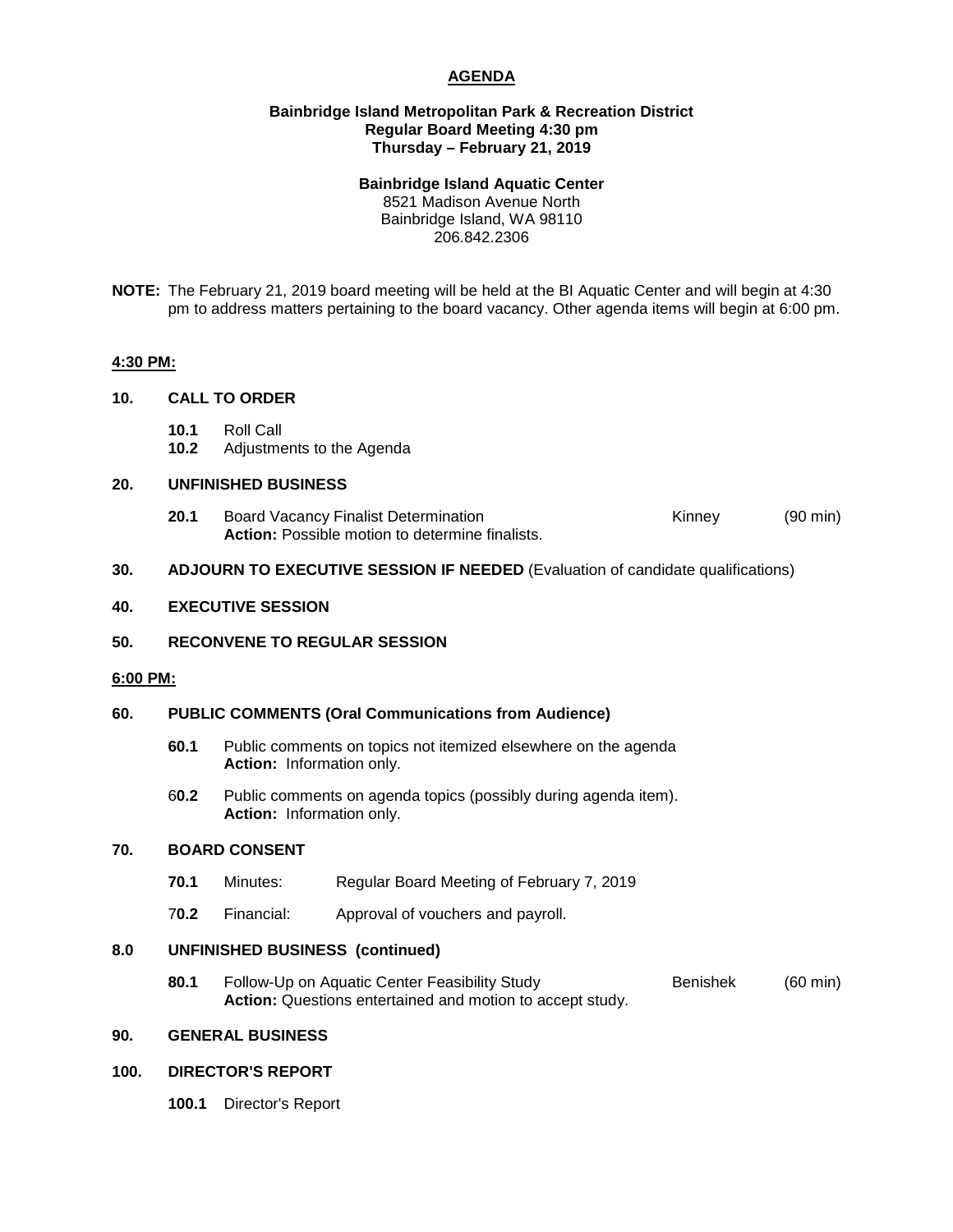# **AGENDA**

### **Bainbridge Island Metropolitan Park & Recreation District Regular Board Meeting 4:30 pm Thursday – February 21, 2019**

### **Bainbridge Island Aquatic Center**

8521 Madison Avenue North Bainbridge Island, WA 98110 206.842.2306

**NOTE:** The February 21, 2019 board meeting will be held at the BI Aquatic Center and will begin at 4:30 pm to address matters pertaining to the board vacancy. Other agenda items will begin at 6:00 pm.

#### **4:30 PM:**

## **10. CALL TO ORDER**

- **10.1** Roll Call
- **10.2** Adjustments to the Agenda

## **20. UNFINISHED BUSINESS**

**20.1** Board Vacancy Finalist Determination **Example 20.1** Kinney (90 min) **Action:** Possible motion to determine finalists.

## **30. ADJOURN TO EXECUTIVE SESSION IF NEEDED** (Evaluation of candidate qualifications)

#### **40. EXECUTIVE SESSION**

## **50. RECONVENE TO REGULAR SESSION**

#### **6:00 PM:**

#### **60. PUBLIC COMMENTS (Oral Communications from Audience)**

- **60.1** Public comments on topics not itemized elsewhere on the agenda **Action:** Information only.
- 6**0.2** Public comments on agenda topics (possibly during agenda item). **Action:** Information only.

## **70. BOARD CONSENT**

- **70.1** Minutes: Regular Board Meeting of February 7, 2019
- 7**0.2** Financial: Approval of vouchers and payroll.

## **8.0 UNFINISHED BUSINESS (continued)**

**80.1** Follow-Up on Aquatic Center Feasibility Study **Benishek** (60 min) **Action:** Questions entertained and motion to accept study.

# **90. GENERAL BUSINESS**

## **100. DIRECTOR'S REPORT**

**100.1** Director's Report